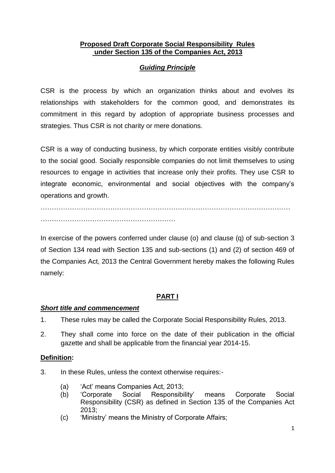#### **Proposed Draft Corporate Social Responsibility Rules under Section 135 of the Companies Act, 2013**

## *Guiding Principle*

CSR is the process by which an organization thinks about and evolves its relationships with stakeholders for the common good, and demonstrates its commitment in this regard by adoption of appropriate business processes and strategies. Thus CSR is not charity or mere donations.

CSR is a way of conducting business, by which corporate entities visibly contribute to the social good. Socially responsible companies do not limit themselves to using resources to engage in activities that increase only their profits. They use CSR to integrate economic, environmental and social objectives with the company's operations and growth.

………………………………………………………………………………………………… ……………………………………………………

In exercise of the powers conferred under clause (o) and clause (q) of sub-section 3 of Section 134 read with Section 135 and sub-sections (1) and (2) of section 469 of the Companies Act, 2013 the Central Government hereby makes the following Rules namely:

# **PART I**

## *Short title and commencement*

- 1. These rules may be called the Corporate Social Responsibility Rules, 2013.
- 2. They shall come into force on the date of their publication in the official gazette and shall be applicable from the financial year 2014-15.

## **Definition:**

- 3. In these Rules, unless the context otherwise requires:-
	- (a) 'Act' means Companies Act, 2013;
	- (b) 'Corporate Social Responsibility' means Corporate Social Responsibility (CSR) as defined in Section 135 of the Companies Act  $2013$
	- (c) 'Ministry' means the Ministry of Corporate Affairs;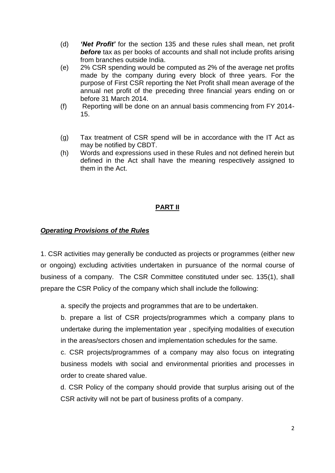- (d) *'Net Profit'* for the section 135 and these rules shall mean, net profit **before** tax as per books of accounts and shall not include profits arising from branches outside India.
- (e) 2% CSR spending would be computed as 2% of the average net profits made by the company during every block of three years. For the purpose of First CSR reporting the Net Profit shall mean average of the annual net profit of the preceding three financial years ending on or before 31 March 2014.
- (f) Reporting will be done on an annual basis commencing from FY 2014- 15.
- (g) Tax treatment of CSR spend will be in accordance with the IT Act as may be notified by CBDT.
- (h) Words and expressions used in these Rules and not defined herein but defined in the Act shall have the meaning respectively assigned to them in the Act.

## **PART II**

#### *Operating Provisions of the Rules*

1. CSR activities may generally be conducted as projects or programmes (either new or ongoing) excluding activities undertaken in pursuance of the normal course of business of a company. The CSR Committee constituted under sec. 135(1), shall prepare the CSR Policy of the company which shall include the following:

a. specify the projects and programmes that are to be undertaken.

b. prepare a list of CSR projects/programmes which a company plans to undertake during the implementation year , specifying modalities of execution in the areas/sectors chosen and implementation schedules for the same.

c. CSR projects/programmes of a company may also focus on integrating business models with social and environmental priorities and processes in order to create shared value.

d. CSR Policy of the company should provide that surplus arising out of the CSR activity will not be part of business profits of a company.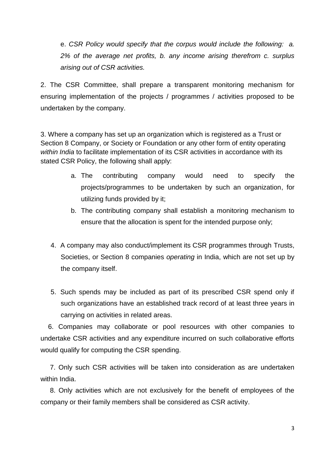e. *CSR Policy would specify that the corpus would include the following: a. 2% of the average net profits, b. any income arising therefrom c. surplus arising out of CSR activities.* 

2. The CSR Committee, shall prepare a transparent monitoring mechanism for ensuring implementation of the projects / programmes / activities proposed to be undertaken by the company.

3. Where a company has set up an organization which is registered as a Trust or Section 8 Company, or Society or Foundation or any other form of entity operating *within India* to facilitate implementation of its CSR activities in accordance with its stated CSR Policy, the following shall apply:

- a. The contributing company would need to specify the projects/programmes to be undertaken by such an organization, for utilizing funds provided by it;
- b. The contributing company shall establish a monitoring mechanism to ensure that the allocation is spent for the intended purpose only;
- 4. A company may also conduct/implement its CSR programmes through Trusts, Societies, or Section 8 companies *operating* in India, which are not set up by the company itself.
- 5. Such spends may be included as part of its prescribed CSR spend only if such organizations have an established track record of at least three years in carrying on activities in related areas.

 6. Companies may collaborate or pool resources with other companies to undertake CSR activities and any expenditure incurred on such collaborative efforts would qualify for computing the CSR spending.

 7. Only such CSR activities will be taken into consideration as are undertaken within India.

 8. Only activities which are not exclusively for the benefit of employees of the company or their family members shall be considered as CSR activity.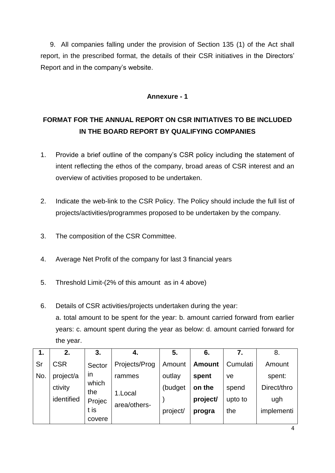9. All companies falling under the provision of Section 135 (1) of the Act shall report, in the prescribed format, the details of their CSR initiatives in the Directors' Report and in the company's website.

## **Annexure - 1**

# **FORMAT FOR THE ANNUAL REPORT ON CSR INITIATIVES TO BE INCLUDED IN THE BOARD REPORT BY QUALIFYING COMPANIES**

- 1. Provide a brief outline of the company's CSR policy including the statement of intent reflecting the ethos of the company, broad areas of CSR interest and an overview of activities proposed to be undertaken.
- 2. Indicate the web-link to the CSR Policy. The Policy should include the full list of projects/activities/programmes proposed to be undertaken by the company.
- 3. The composition of the CSR Committee.
- 4. Average Net Profit of the company for last 3 financial years
- 5. Threshold Limit-(2% of this amount as in 4 above)
- 6. Details of CSR activities/projects undertaken during the year: a. total amount to be spent for the year: b. amount carried forward from earlier years: c. amount spent during the year as below: d. amount carried forward for the year.

| 1.  | 2.                           | 3.           | 4.            | 5.      | 6.            | 7.         | 8.          |
|-----|------------------------------|--------------|---------------|---------|---------------|------------|-------------|
| Sr  | <b>CSR</b>                   | Sector       | Projects/Prog | Amount  | <b>Amount</b> | Cumulati   | Amount      |
| No. | project/a                    | <b>in</b>    | rammes        | outlay  | spent         | ve         | spent:      |
|     | ctivity                      | which<br>the | 1.Local       | (budget | on the        | spend      | Direct/thro |
|     | identified<br>Projec<br>t is |              | area/others-  |         | project/      | upto to    | ugh         |
|     |                              |              | project/      | progra  | the           | implementi |             |
|     |                              | covere       |               |         |               |            |             |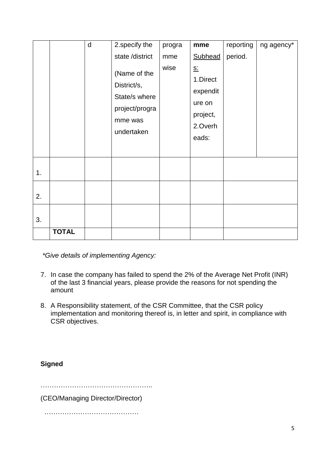|    |              | d | 2.specify the                                                                           | progra | mme                                                                       | reporting | ng agency* |
|----|--------------|---|-----------------------------------------------------------------------------------------|--------|---------------------------------------------------------------------------|-----------|------------|
|    |              |   | state /district                                                                         | mme    | Subhead                                                                   | period.   |            |
|    |              |   | (Name of the<br>District/s,<br>State/s where<br>project/progra<br>mme was<br>undertaken | wise   | $S_{-}$<br>1.Direct<br>expendit<br>ure on<br>project,<br>2.Overh<br>eads: |           |            |
| 1. |              |   |                                                                                         |        |                                                                           |           |            |
| 2. |              |   |                                                                                         |        |                                                                           |           |            |
| 3. |              |   |                                                                                         |        |                                                                           |           |            |
|    | <b>TOTAL</b> |   |                                                                                         |        |                                                                           |           |            |

*\*Give details of implementing Agency:*

- 7. In case the company has failed to spend the 2% of the Average Net Profit (INR) of the last 3 financial years, please provide the reasons for not spending the amount
- 8. A Responsibility statement, of the CSR Committee, that the CSR policy implementation and monitoring thereof is, in letter and spirit, in compliance with CSR objectives.

**Signed**

…………………………………………..

(CEO/Managing Director/Director)

……………………………………………